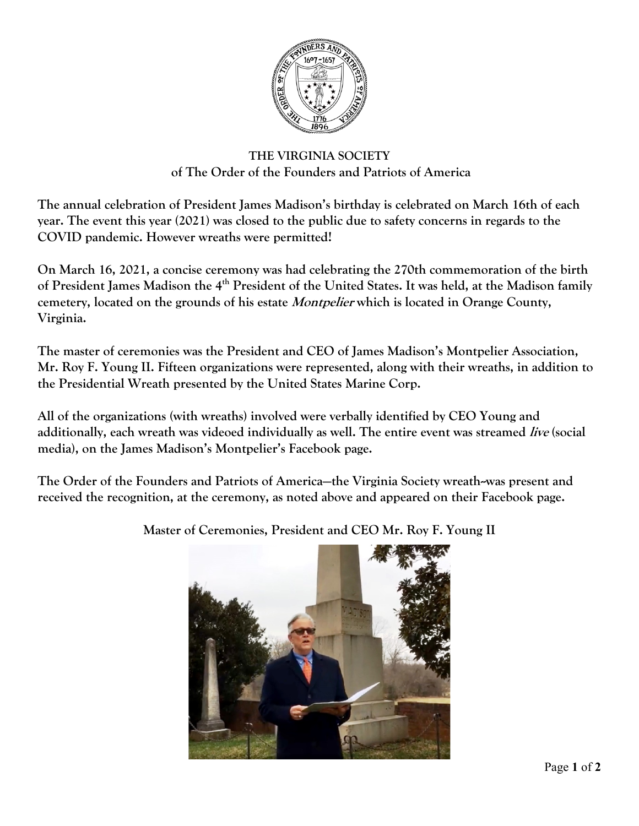

## **THE VIRGINIA SOCIETY of The Order of the Founders and Patriots of America**

**The annual celebration of President James Madison's birthday is celebrated on March 16th of each year. The event this year (2021) was closed to the public due to safety concerns in regards to the COVID pandemic. However wreaths were permitted!**

**On March 16, 2021, a concise ceremony was had celebrating the 270th commemoration of the birth of President James Madison the 4th President of the United States. It was held, at the Madison family cemetery, located on the grounds of his estate Montpelier which is located in Orange County, Virginia.**

**The master of ceremonies was the President and CEO of James Madison's Montpelier Association, Mr. Roy F. Young II. Fifteen organizations were represented, along with their wreaths, in addition to the Presidential Wreath presented by the United States Marine Corp.**

**All of the organizations (with wreaths) involved were verbally identified by CEO Young and additionally, each wreath was videoed individually as well. The entire event was streamed live (social media), on the James Madison's Montpelier's Facebook page.**

**The Order of the Founders and Patriots of America—the Virginia Society wreath--was present and received the recognition, at the ceremony, as noted above and appeared on their Facebook page.**



**Master of Ceremonies, President and CEO Mr. Roy F. Young II**